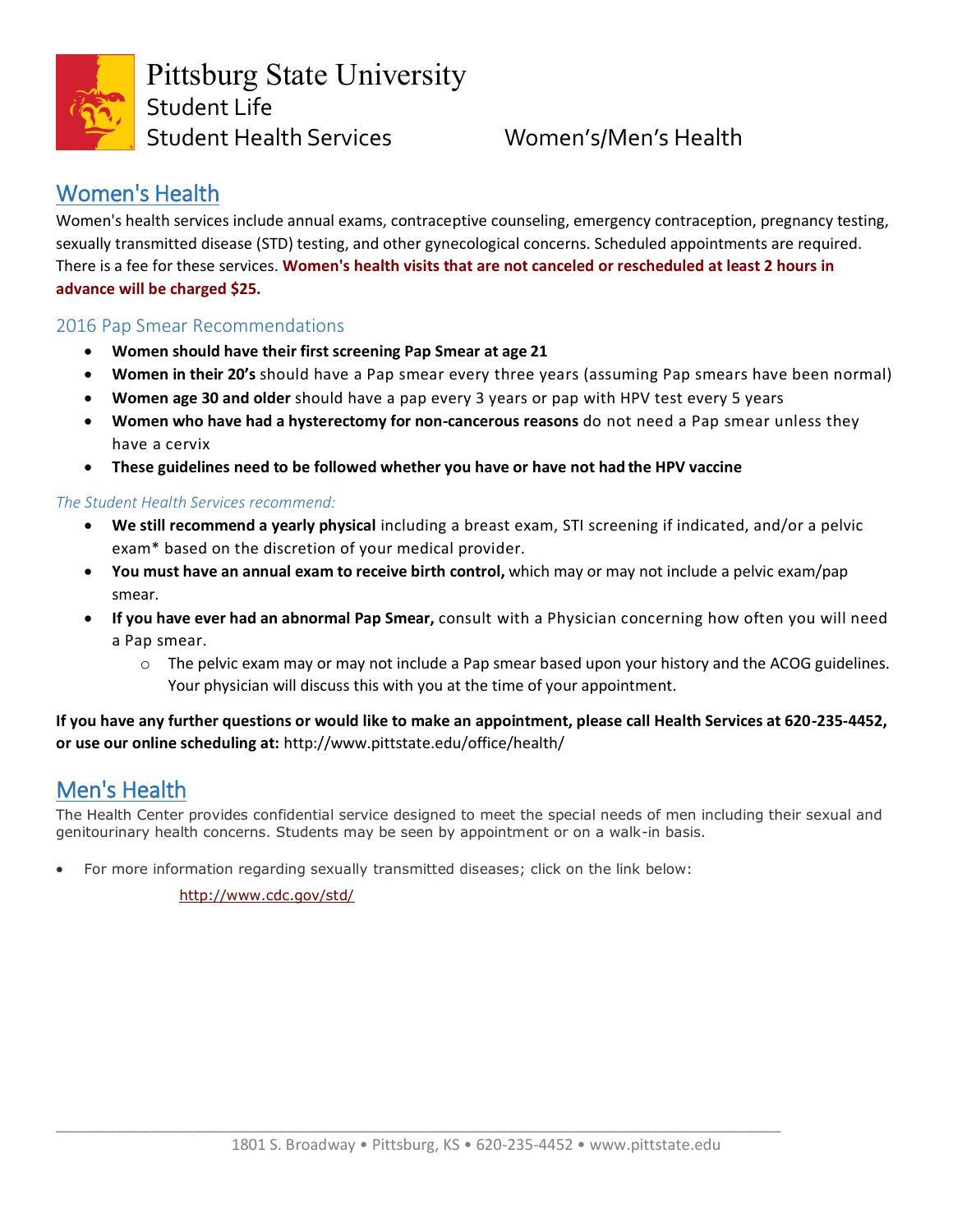

## Women's Health

Women's health services include annual exams, contraceptive counseling, emergency contraception, pregnancy testing, sexually transmitted disease (STD) testing, and other gynecological concerns. Scheduled appointments are required. There is a fee for these services. **Women's health visits that are not canceled or rescheduled at least 2 hours in advance will be charged \$25.**

## 2016 Pap Smear Recommendations

- **Women should have their first screening Pap Smear at age 21**
- **Women in their 20's** should have a Pap smear every three years (assuming Pap smears have been normal)
- **Women age 30 and older** should have a pap every 3 years or pap with HPV test every 5 years
- **Women who have had a hysterectomy for non-cancerous reasons** do not need a Pap smear unless they have a cervix
- **These guidelines need to be followed whether you have or have not had the HPV vaccine**

### *The Student Health Services recommend:*

- **We still recommend a yearly physical** including a breast exam, STI screening if indicated, and/or a pelvic exam\* based on the discretion of your medical provider.
- **You must have an annual exam to receive birth control,** which may or may not include a pelvic exam/pap smear.
- **If you have ever had an abnormal Pap Smear,** consult with a Physician concerning how often you will need a Pap smear.
	- $\circ$  The pelvic exam may or may not include a Pap smear based upon your history and the ACOG guidelines. Your physician will discuss this with you at the time of your appointment.

**If you have any further questions or would like to make an appointment, please call Health Services at 620-235-4452, or use our online scheduling at:** <http://www.pittstate.edu/office/health/>

# Men's Health

The Health Center provides confidential service designed to meet the special needs of men including their sexual and genitourinary health concerns. Students may be seen by appointment or on a walk-in basis.

• For more information regarding sexually transmitted diseases; click on the link below:

<http://www.cdc.gov/std/>

\_\_\_\_\_\_\_\_\_\_\_\_\_\_\_\_\_\_\_\_\_\_\_\_\_\_\_\_\_\_\_\_\_\_\_\_\_\_\_\_\_\_\_\_\_\_\_\_\_\_\_\_\_\_\_\_\_\_\_\_\_\_\_\_\_\_\_\_\_\_\_\_\_\_\_\_\_\_\_\_\_\_\_\_\_